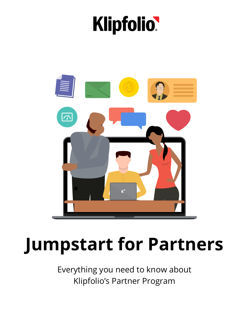# **Klipfolio**



# **Jumpstart for Partners**

Everything you need to know about Klipfolio's Partner Program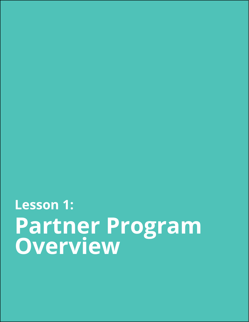# **Partner Program Overview Lesson 1:**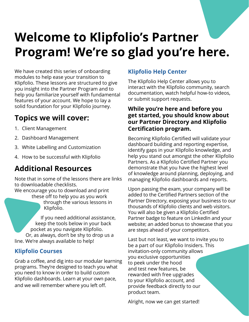# **Welcome to Klipfolio's Partner Program! We're so glad you're here.**

We have created this series of onboarding modules to help ease your transition to Klipfolio. These lessons are structured to give you insight into the Partner Program and to help you familiarize yourself with fundamental features of your account. We hope to lay a solid foundation for your Klipfolio journey.

# **Topics we will cover:**

- 1. Client Management
- 2. Dashboard Management
- 3. White Labelling and Customization
- 4. How to be successful with Klipfolio

# **Additional Resources**

Note that in some of the lessons there are links to downloadable checklists.

We encourage you to download and print these off to help you as you work

through the various lessons in Klipfolio.

If you need additional assistance, keep the tools below in your back pocket as you navigate Klipfolio. Or, as always, don't be shy to drop us a line. We're always available to help!

#### **[Klipfolio Courses](https://www.klipfolio.com/learn)**

Grab a coffee, and dig into our modular learning programs. They're designed to teach you what you need to know in order to build custom Klipfolio dashboards. Learn at your own pace, and we will remember where you left off.

### **[Klipfolio Help Center](https://support.klipfolio.com/hc/en-us)**

The Klipfolio Help Center allows you to interact with the Klipfolio community, search documentation, watch helpful how-to videos, or submit support requests.

#### **While you're here and before you get started, you should know about our Partner Directory and Klipfolio Certification program.**

Becoming Klipfolio Certified will validate your dashboard building and reporting expertise, identify gaps in your Klipfolio knowledge, and help you stand out amongst the other Klipfolio Partners. As a Klipfolio Certified Partner you demonstrate that you have the highest level of knowledge around planning, deploying, and managing Klipfolio dashboards and reports.

Upon passing the exam, your company will be added to the Certified Partners section of the Partner Directory, exposing your business to our thousands of Klipfolio clients and web visitors. You will also be given a Klipfolio Certified Partner badge to feature on LinkedIn and your website; an added bonus to showcase that you are steps ahead of your competitors.

Last but not least, we want to invite you to be a part of our Klipfolio Insiders. This invitation-only community allows you exclusive opportunities to peek under the hood and test new features, be rewarded with free upgrades to your Klipfolio account, and provide feedback directly to our product team.

Alright, now we can get started!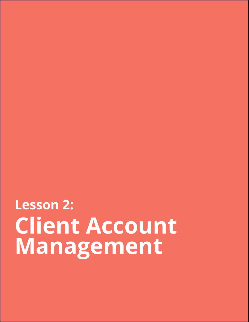**Client Account Management Lesson 2:**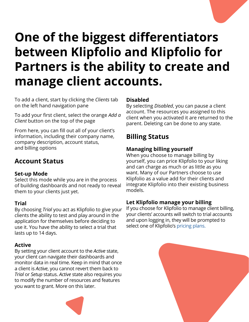# **One of the biggest differentiators between Klipfolio and Klipfolio for Partners is the ability to create and manage client accounts.**

To add a client, start by clicking the *Clients* tab on the left hand navigation pane

To add your first client, select the orange *Add a Client* button on the top of the page

From here, you can fill out all of your client's information, including their company name, company description, account status, and billing options

### **Account Status**

#### **Set-up Mode**

Select this mode while you are in the process of building dashboards and not ready to reveal them to your clients just yet.

#### **Trial**

By choosing *Trial* you act as Klipfolio to give your clients the ability to test and play around in the application for themselves before deciding to use it. You have the ability to select a trial that lasts up to 14 days.

#### **Active**

By setting your client account to the *Active* state, your client can navigate their dashboards and monitor data in real time. Keep in mind that once a client is *Active*, you cannot revert them back to *Trial* or *Setup* status. *Active* state also requires you to modify the number of resources and features you want to grant. More on this later.



#### **Disabled**

By selecting *Disabled*, you can pause a client account. The resources you assigned to this client when you activated it are returned to the parent. Deleting can be done to any state.

## **Billing Status**

#### **Managing billing yourself**

When you choose to manage billing by yourself, you can price Klipfolio to your liking and can charge as much or as little as you want. Many of our Partners choose to use Klipfolio as a value add for their clients and integrate Klipfolio into their existing business models.

#### **Let Klipfolio manage your billing**

If you choose for Klipfolio to manage client billing, your clients' accounts will switch to trial accounts and upon logging in, they will be prompted to select one of Klipfolio's [pricing plans.](https://www.klipfolio.com/pricing#agencies)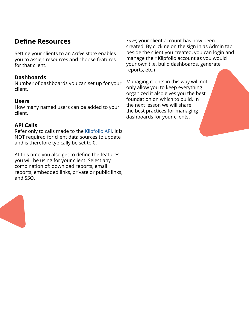### **Define Resources**

Setting your clients to an *Active* state enables you to assign resources and choose features for that client.

#### **Dashboards**

Number of dashboards you can set up for your client.

#### **Users**

How many named users can be added to your client.

#### **API Calls**

Refer only to calls made to the [Klipfolio API](https://apidocs.klipfolio.com/reference). It is NOT required for client data sources to update and is therefore typically be set to 0.

At this time you also get to define the features you will be using for your client. Select any combination of: download reports, email reports, embedded links, private or public links, and SSO.

*Save*; your client account has now been created. By clicking on the sign in as Admin tab beside the client you created, you can login and manage their Klipfolio account as you would your own (i.e. build dashboards, generate reports, etc.)

Managing clients in this way will not only allow you to keep everything organized it also gives you the best foundation on which to build. In the next lesson we will share the best practices for managing dashboards for your clients.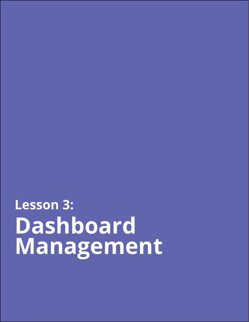# **Dashboard Management Lesson 3:**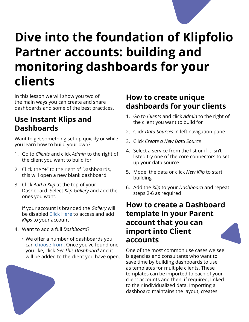# **Dive into the foundation of Klipfolio Partner accounts: building and monitoring dashboards for your clients**

In this lesson we will show you two of the main ways you can create and share dashboards and some of the best practices.

# **Use Instant Klips and Dashboards**

Want to get something set up quickly or while you learn how to build your own?

- 1. Go to *Clients* and click *Admin* to the right of the client you want to build for
- 2. Click the "+" to the right of Dashboards, this will open a new blank dashboard
- 3. Click *Add a Klip* at the top of your Dashboard. Select *Klip Gallery* and add the ones you want.

If your account is branded the *Gallery* will be disabled [Click Here](https://www.google.com/url?q=https://www.klipfolio.com/integrations%23All&sa=D&ust=1546905669467000&usg=AFQjCNHlxpbPbdBCicRG2whMVlUITRyxog) to access and add *Klips* to your account

- 4. Want to add a full *Dashboard*?
	- We offer a number of dashboards you can [choose from](https://www.klipfolio.com/gallery/dashboards). Once you've found one you like, click *Get This Dashboard* and it will be added to the client you have open.



# **How to create unique dashboards for your clients**

- 1. Go to *Clients* and click *Admin* to the right of the client you want to build for
- 2. Click *Data Sources* in left navigation pane
- 3. Click *Create a New Data Source*
- 4. Select a service from the list or if it isn't listed try one of the core connectors to set up your data source
- 5. Model the data or click *New Klip* to start building
- 6. Add the *Klip* to your *Dashboard* and repeat steps 2-6 as required

# **How to create a Dashboard template in your Parent account that you can import into Client accounts**

One of the most common use cases we see is agencies and consultants who want to save time by building dashboards to use as templates for multiple clients. These templates can be imported to each of your client accounts and then, if required, linked to their individualized data. Importing a dashboard maintains the layout, creates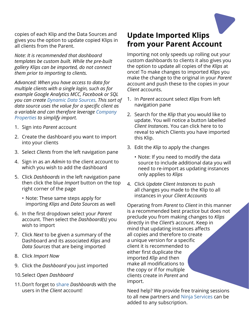copies of each Klip and the Data Sources and gives you the option to update copied Klips in all clients from the Parent.

*Note: It is recommended that dashboard templates be custom built. While the pre-built gallery Klips can be imported, do not connect them prior to importing to clients.*

*Advanced: When you have access to data for multiple clients with a single login, such as for example Google Analytics MCC, Facebook or SQL you can create [Dynamic Data Sources.](https://support.klipfolio.com/hc/en-us/articles/216183237-BETA-Working-with-dynamic-data-sources) This sort of data source uses the value for a specific client as a variable and can therefore leverage [Company](https://support.klipfolio.com/hc/en-us/articles/223222128-Company-Properties)  [Properties](https://support.klipfolio.com/hc/en-us/articles/223222128-Company-Properties) to simplify import.*

- 1. Sign into *Parent* account
- 2. Create the dashboard you want to import into your clients
- 3. Select *Clients* from the left navigation pane
- 4. Sign in as an *Admin* to the client account to which you wish to add the dashboard
- 5. Click *Dashboards* in the left navigation pane then click the blue *Import* button on the top right corner of the page
	- Note: These same steps apply for importing *Klips* and *Data Sources* as well
- 6. In the first dropdown select your *Parent* account. Then select the *Dashboard(s)* you wish to import
- 7. Click *Next* to be given a summary of the Dashboard and its associated *Klips* and *Data Sources* that are being imported
- 8. Click *Import Now*
- 9. Click the *Dashboard* you just imported
- 10.Select *Open Dashboard*
- 11.Don't forget to [share](https://support.klipfolio.com/hc/en-us/articles/229501228-Collaboration-and-sharing) *Dashboards* with the users in the *Client* account!

# **Update Imported Klips from your Parent Account**

Importing not only speeds up rolling out your custom dashboards to clients it also gives you the option to update all copies of the *Klips* at once! To make changes to imported *Klips* you make the change to the original in your *Parent* account and push these to the copies in your *Client* accounts.

- 1. In *Parent* account select *Klips* from left navigation pane
- 2. Search for the *Klip* that you would like to update. You will notice a button labelled *Client Instances*. You can click here to to reveal to which Clients you have imported this Klip.
- 3. Edit the *Klip* to apply the changes
	- Note: If you need to modify the data source to include additional data you will need to re-import as updating instances only applies to *Klips*
- 4. Click *Update Client Instances* to push all changes you made to the Klip to all instances in your *Client Accounts*

Operating from *Parent* to *Client* in this manner is a recommended best practice but does not preclude you from making changes to *Klips* directly in the *Client's* account. Keep in mind that updating instances affects all copies and therefore to create a unique version for a specific client it is recommended to either first duplicate the imported *Klip* and then make all modifications to the copy or if for multiple clients create in *Parent* and import.

Need help? We provide free training sessions to all new partners and [Ninja Services](https://www.klipfolio.com/dashboard-services) can be added to any subscription.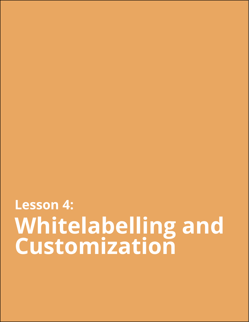# **Whitelabelling and Customization Lesson 4:**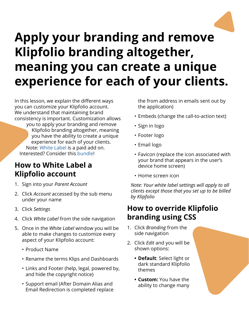

# **Apply your branding and remove Klipfolio branding altogether, meaning you can create a unique experience for each of your clients.**

In this lesson, we explain the different ways you can customize your Klipfolio account. We understand that maintaining brand consistency is important. Customization allows

you to apply your branding and remove Klipfolio branding altogether, meaning you have the ability to create a unique experience for each of your clients. Note: [White Label](https://support.klipfolio.com/hc/en-us/articles/216183707-White-Label-Options) is a paid add on. Interested? Consider this [bundle](https://www.klipfolio.com/agency-starter-kit)!

# **How to White Label a Klipfolio account**

- 1. Sign into your *Parent Account*
- 2. Click *Account* accessed by the sub menu under your name
- 3. Click *Settings*
- 4. Click *White Label* from the side navigation
- 5. Once in the *White Label* window you will be able to make changes to customize every aspect of your Klipfolio account:
	- Product Name
	- Rename the terms Klips and Dashboards
	- Links and Footer (help, legal, powered by, and hide the copyright notice)
	- Support email (After Domain Alias and Email Redirection is completed replace

the from address in emails sent out by the application)

- Embeds (change the call-to-action text)
- Sign in logo
- Footer logo
- Email logo
- Favicon (replace the icon associated with your brand that appears in the user's device home screen)
- Home screen icon

*Note: Your white label settings will apply to all clients except those that you set up to be billed by Klipfolio*

## **How to override Klipfolio branding using CSS**

- 1. Click *Branding* from the side navigation
- 2. Click *Edit* and you will be shown options:
	- **• Default**: Select light or dark standard Klipfolio themes
	- **• Custom:** You have the ability to change many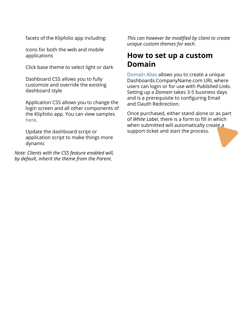facets of the Klipfolio app including:

Icons for both the web and mobile applications

Click base theme to select light or dark

Dashboard CSS allows you to fully customize and override the existing dashboard style

Application CSS allows you to change the login screen and all other components of the Klipfolio app. You can view samples [here.](https://www.klipfolio.com/custom-theme)

Update the dashboard script or application script to make things more dynamic

*Note: Clients with the CSS feature enabled will, by default, inherit the theme from the Parent.* 

*This can however be modified by client to create unique custom themes for each.*

### **How to set up a custom Domain**

[Domain Alias](https://support.klipfolio.com/hc/en-us/articles/215548678-Domain-Alias-Requirements) allows you to create a unique Dashboards.CompanyName.com URL where users can login or for use with *Published Links*. Setting up a *Domain* takes 3-5 business days and is a prerequisite to configuring Email and Oauth Redirection.

Once purchased, either stand alone or as part of *White Label*, there is a form to fill in which when submitted will automatically create a support ticket and start the process.

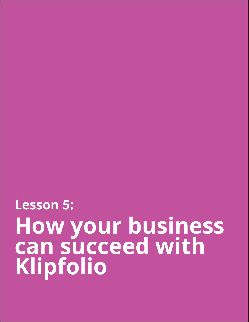**How your business can succeed with Klipfolio Lesson 5:**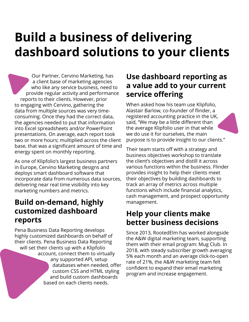# **Build a business of delivering dashboard solutions to your clients**

Our Partner, Cervino Marketing, has a client base of marketing agencies who like any service business, need to provide regular activity and performance reports to their clients. However, prior to engaging with Cervino, gathering the data from multiple sources was very timeconsuming. Once they had the correct data, the agencies needed to put that information into Excel spreadsheets and/or PowerPoint presentations. On average, each report took two or more hours; multiplied across the client base, that was a significant amount of time and energy spent on monthly reporting.

As one of Klipfolio's largest business partners in Europe, Cervino Marketing designs and deploys smart dashboard software that incorporate data from numerous data sources, delivering near real time visibility into key marketing numbers and metrics.

## **Build on-demand, highly customized dashboard reports**

Pena Business Data Reporting develops highly customized dashboards on behalf of their clients. Pena Business Data Reporting will set their clients up with a Klipfolio account, connect them to virtually any supported API, setup databases when needed, offer custom CSS and HTML styling and build custom dashboards based on each clients needs.

# **Use dashboard reporting as a value add to your current service offering**

When asked how his team use Klipfolio, Alastair Barlow, co-founder of flinder, a registered accounting practice in the UK, said, "We may be a little different than the average Klipfolio user in that while we do use it for ourselves, the main purpose is to provide insight to our clients."

Their team starts off with a strategy and business objectives workshop to translate the client's objectives and distill it across various functions within the business. Flinder provides insight to help their clients meet their objectives by building dashboards to track an array of metrics across multiple functions which include financial analytics, cash management, and prospect opportunity management.

# **Help your clients make better business decisions**

Since 2013, RootedElm has worked alongside the A&W digital marketing team, supporting them with their email program: Mug Club. In 2018, with steady subscriber growth averaging 5% each month and an average click-to-open rate of 21%, the A&W marketing team felt confident to expand their email marketing program and increase engagement.